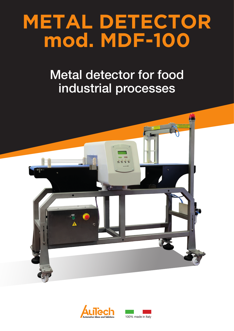# **METAL DETECTOR mod. MDF-100**

## Metal detector for food industrial processes